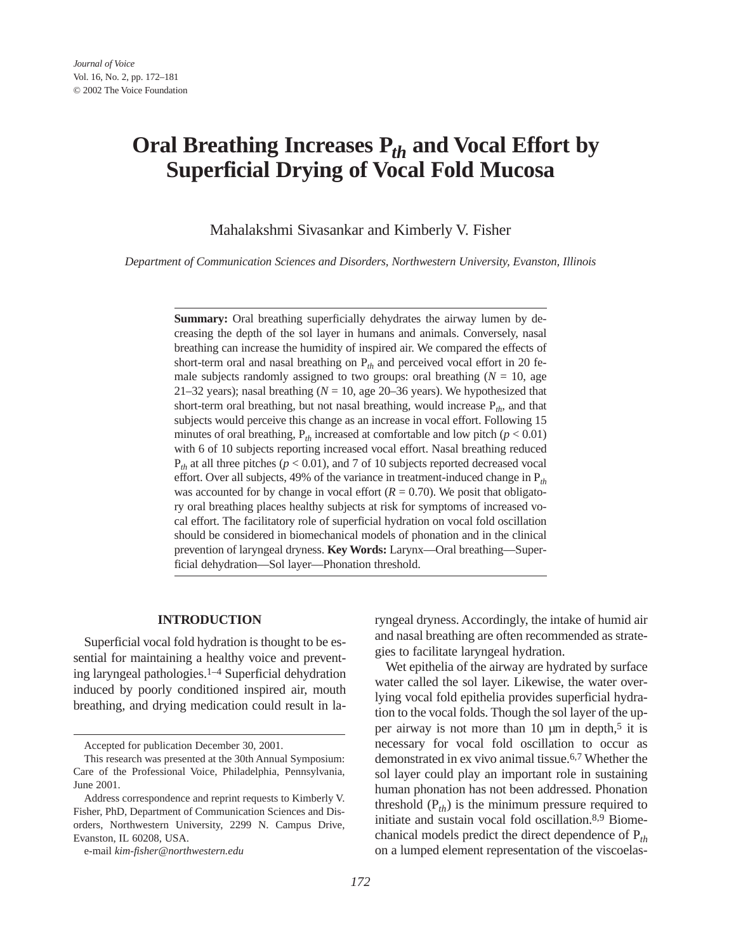# **Oral Breathing Increases P***th* **and Vocal Effort by Superficial Drying of Vocal Fold Mucosa**

Mahalakshmi Sivasankar and Kimberly V. Fisher

*Department of Communication Sciences and Disorders, Northwestern University, Evanston, Illinois*

**Summary:** Oral breathing superficially dehydrates the airway lumen by decreasing the depth of the sol layer in humans and animals. Conversely, nasal breathing can increase the humidity of inspired air. We compared the effects of short-term oral and nasal breathing on P*th* and perceived vocal effort in 20 female subjects randomly assigned to two groups: oral breathing  $(N = 10)$ , age 21–32 years); nasal breathing  $(N = 10)$ , age 20–36 years). We hypothesized that short-term oral breathing, but not nasal breathing, would increase  $P_{th}$ , and that subjects would perceive this change as an increase in vocal effort. Following 15 minutes of oral breathing,  $P_{th}$  increased at comfortable and low pitch ( $p < 0.01$ ) with 6 of 10 subjects reporting increased vocal effort. Nasal breathing reduced  $P_{th}$  at all three pitches ( $p < 0.01$ ), and 7 of 10 subjects reported decreased vocal effort. Over all subjects, 49% of the variance in treatment-induced change in P*th* was accounted for by change in vocal effort  $(R = 0.70)$ . We posit that obligatory oral breathing places healthy subjects at risk for symptoms of increased vocal effort. The facilitatory role of superficial hydration on vocal fold oscillation should be considered in biomechanical models of phonation and in the clinical prevention of laryngeal dryness. **Key Words:** Larynx—Oral breathing—Superficial dehydration—Sol layer—Phonation threshold.

# **INTRODUCTION**

Superficial vocal fold hydration is thought to be essential for maintaining a healthy voice and preventing laryngeal pathologies.1–4 Superficial dehydration induced by poorly conditioned inspired air, mouth breathing, and drying medication could result in laryngeal dryness. Accordingly, the intake of humid air and nasal breathing are often recommended as strategies to facilitate laryngeal hydration.

Wet epithelia of the airway are hydrated by surface water called the sol layer. Likewise, the water overlying vocal fold epithelia provides superficial hydration to the vocal folds. Though the sol layer of the upper airway is not more than 10  $\mu$ m in depth,<sup>5</sup> it is necessary for vocal fold oscillation to occur as demonstrated in ex vivo animal tissue.6,7 Whether the sol layer could play an important role in sustaining human phonation has not been addressed. Phonation threshold  $(P_{th})$  is the minimum pressure required to initiate and sustain vocal fold oscillation.8,9 Biomechanical models predict the direct dependence of P*th* on a lumped element representation of the viscoelas-

Accepted for publication December 30, 2001.

This research was presented at the 30th Annual Symposium: Care of the Professional Voice, Philadelphia, Pennsylvania, June 2001.

Address correspondence and reprint requests to Kimberly V. Fisher, PhD, Department of Communication Sciences and Disorders, Northwestern University, 2299 N. Campus Drive, Evanston, IL 60208, USA.

e-mail *kim-fisher@northwestern.edu*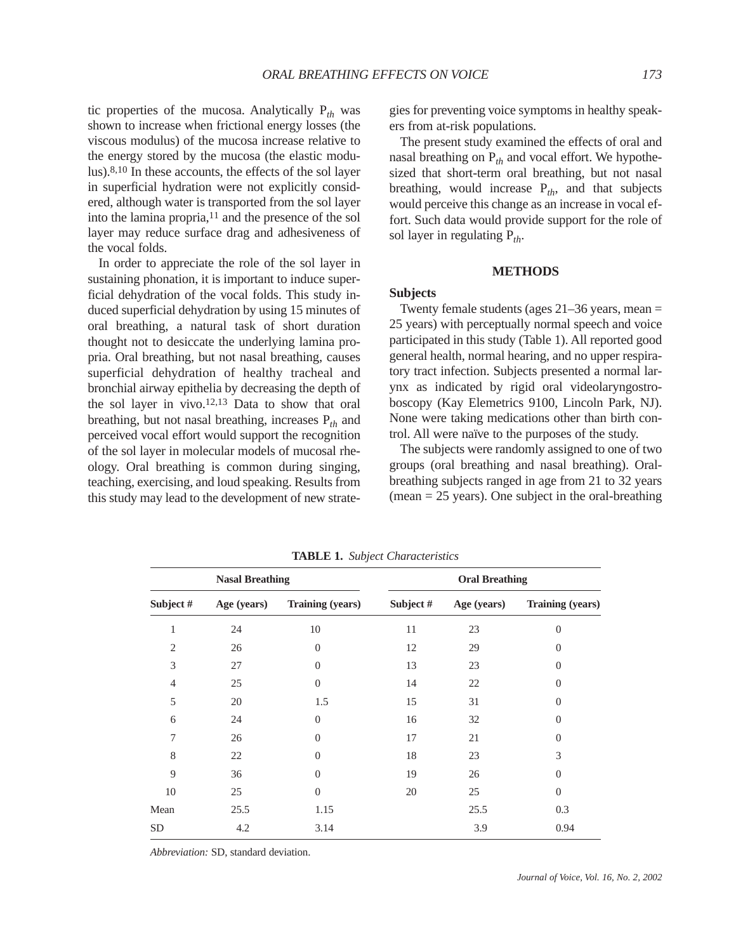tic properties of the mucosa. Analytically P*th* was shown to increase when frictional energy losses (the viscous modulus) of the mucosa increase relative to the energy stored by the mucosa (the elastic modulus).8,10 In these accounts, the effects of the sol layer in superficial hydration were not explicitly considered, although water is transported from the sol layer into the lamina propria, $11$  and the presence of the sol layer may reduce surface drag and adhesiveness of the vocal folds.

In order to appreciate the role of the sol layer in sustaining phonation, it is important to induce superficial dehydration of the vocal folds. This study induced superficial dehydration by using 15 minutes of oral breathing, a natural task of short duration thought not to desiccate the underlying lamina propria. Oral breathing, but not nasal breathing, causes superficial dehydration of healthy tracheal and bronchial airway epithelia by decreasing the depth of the sol layer in vivo.12,13 Data to show that oral breathing, but not nasal breathing, increases P*th* and perceived vocal effort would support the recognition of the sol layer in molecular models of mucosal rheology. Oral breathing is common during singing, teaching, exercising, and loud speaking. Results from this study may lead to the development of new strategies for preventing voice symptoms in healthy speakers from at-risk populations.

The present study examined the effects of oral and nasal breathing on P*th* and vocal effort. We hypothesized that short-term oral breathing, but not nasal breathing, would increase  $P_{th}$ , and that subjects would perceive this change as an increase in vocal effort. Such data would provide support for the role of sol layer in regulating  $P_{th}$ .

# **METHODS**

# **Subjects**

Twenty female students (ages  $21-36$  years, mean  $=$ 25 years) with perceptually normal speech and voice participated in this study (Table 1). All reported good general health, normal hearing, and no upper respiratory tract infection. Subjects presented a normal larynx as indicated by rigid oral videolaryngostroboscopy (Kay Elemetrics 9100, Lincoln Park, NJ). None were taking medications other than birth control. All were naïve to the purposes of the study.

The subjects were randomly assigned to one of two groups (oral breathing and nasal breathing). Oralbreathing subjects ranged in age from 21 to 32 years  $(mean = 25 \text{ years})$ . One subject in the oral-breathing

| <b>Nasal Breathing</b> |             |                         | <b>Oral Breathing</b> |             |                  |
|------------------------|-------------|-------------------------|-----------------------|-------------|------------------|
| Subject #              | Age (years) | <b>Training (years)</b> | Subject #             | Age (years) | Training (years) |
| 1                      | 24          | 10                      | 11                    | 23          | $\overline{0}$   |
| $\overline{2}$         | 26          | $\theta$                | 12                    | 29          | $\boldsymbol{0}$ |
| 3                      | 27          | $\Omega$                | 13                    | 23          | $\overline{0}$   |
| $\overline{4}$         | 25          | $\Omega$                | 14                    | 22          | $\overline{0}$   |
| 5                      | 20          | 1.5                     | 15                    | 31          | $\overline{0}$   |
| 6                      | 24          | $\Omega$                | 16                    | 32          | $\overline{0}$   |
| 7                      | 26          | $\theta$                | 17                    | 21          | $\overline{0}$   |
| 8                      | 22          | $\Omega$                | 18                    | 23          | 3                |
| 9                      | 36          | $\theta$                | 19                    | 26          | $\boldsymbol{0}$ |
| 10                     | 25          | $\Omega$                | 20                    | 25          | $\overline{0}$   |
| Mean                   | 25.5        | 1.15                    |                       | 25.5        | 0.3              |
| <b>SD</b>              | 4.2         | 3.14                    |                       | 3.9         | 0.94             |

**TABLE 1.** *Subject Characteristics* 

*Abbreviation:* SD, standard deviation.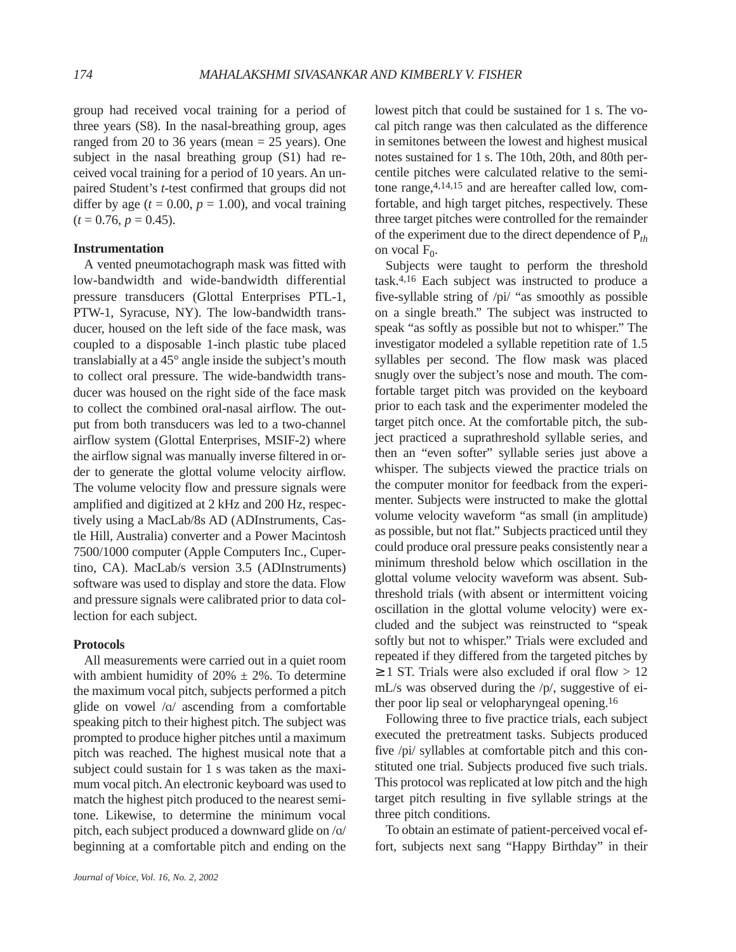group had received vocal training for a period of three years (S8). In the nasal-breathing group, ages ranged from 20 to 36 years (mean  $= 25$  years). One subject in the nasal breathing group (S1) had received vocal training for a period of 10 years. An unpaired Student's *t*-test confirmed that groups did not differ by age  $(t = 0.00, p = 1.00)$ , and vocal training  $(t = 0.76, p = 0.45).$ 

# **Instrumentation**

A vented pneumotachograph mask was fitted with low-bandwidth and wide-bandwidth differential pressure transducers (Glottal Enterprises PTL-1, PTW-1, Syracuse, NY). The low-bandwidth transducer, housed on the left side of the face mask, was coupled to a disposable 1-inch plastic tube placed translabially at a 45° angle inside the subject's mouth to collect oral pressure. The wide-bandwidth transducer was housed on the right side of the face mask to collect the combined oral-nasal airflow. The output from both transducers was led to a two-channel airflow system (Glottal Enterprises, MSIF-2) where the airflow signal was manually inverse filtered in order to generate the glottal volume velocity airflow. The volume velocity flow and pressure signals were amplified and digitized at 2 kHz and 200 Hz, respectively using a MacLab/8s AD (ADInstruments, Castle Hill, Australia) converter and a Power Macintosh 7500/1000 computer (Apple Computers Inc., Cupertino, CA). MacLab/s version 3.5 (ADInstruments) software was used to display and store the data. Flow and pressure signals were calibrated prior to data collection for each subject.

## **Protocols**

All measurements were carried out in a quiet room with ambient humidity of  $20\% \pm 2\%$ . To determine the maximum vocal pitch, subjects performed a pitch glide on vowel  $/\alpha$  ascending from a comfortable speaking pitch to their highest pitch. The subject was prompted to produce higher pitches until a maximum pitch was reached. The highest musical note that a subject could sustain for 1 s was taken as the maximum vocal pitch. An electronic keyboard was used to match the highest pitch produced to the nearest semitone. Likewise, to determine the minimum vocal pitch, each subject produced a downward glide on  $/a/$ beginning at a comfortable pitch and ending on the lowest pitch that could be sustained for 1 s. The vocal pitch range was then calculated as the difference in semitones between the lowest and highest musical notes sustained for 1 s. The 10th, 20th, and 80th percentile pitches were calculated relative to the semitone range,4,14,15 and are hereafter called low, comfortable, and high target pitches, respectively. These three target pitches were controlled for the remainder of the experiment due to the direct dependence of P*th* on vocal  $F_0$ .

Subjects were taught to perform the threshold task.4,16 Each subject was instructed to produce a five-syllable string of /pi/ "as smoothly as possible on a single breath." The subject was instructed to speak "as softly as possible but not to whisper." The investigator modeled a syllable repetition rate of 1.5 syllables per second. The flow mask was placed snugly over the subject's nose and mouth. The comfortable target pitch was provided on the keyboard prior to each task and the experimenter modeled the target pitch once. At the comfortable pitch, the subject practiced a suprathreshold syllable series, and then an "even softer" syllable series just above a whisper. The subjects viewed the practice trials on the computer monitor for feedback from the experimenter. Subjects were instructed to make the glottal volume velocity waveform "as small (in amplitude) as possible, but not flat." Subjects practiced until they could produce oral pressure peaks consistently near a minimum threshold below which oscillation in the glottal volume velocity waveform was absent. Subthreshold trials (with absent or intermittent voicing oscillation in the glottal volume velocity) were excluded and the subject was reinstructed to "speak softly but not to whisper." Trials were excluded and repeated if they differed from the targeted pitches by  $\geq$  1 ST. Trials were also excluded if oral flow  $>$  12 mL/s was observed during the /p/, suggestive of either poor lip seal or velopharyngeal opening.16

Following three to five practice trials, each subject executed the pretreatment tasks. Subjects produced five /pi/ syllables at comfortable pitch and this constituted one trial. Subjects produced five such trials. This protocol was replicated at low pitch and the high target pitch resulting in five syllable strings at the three pitch conditions.

To obtain an estimate of patient-perceived vocal effort, subjects next sang "Happy Birthday" in their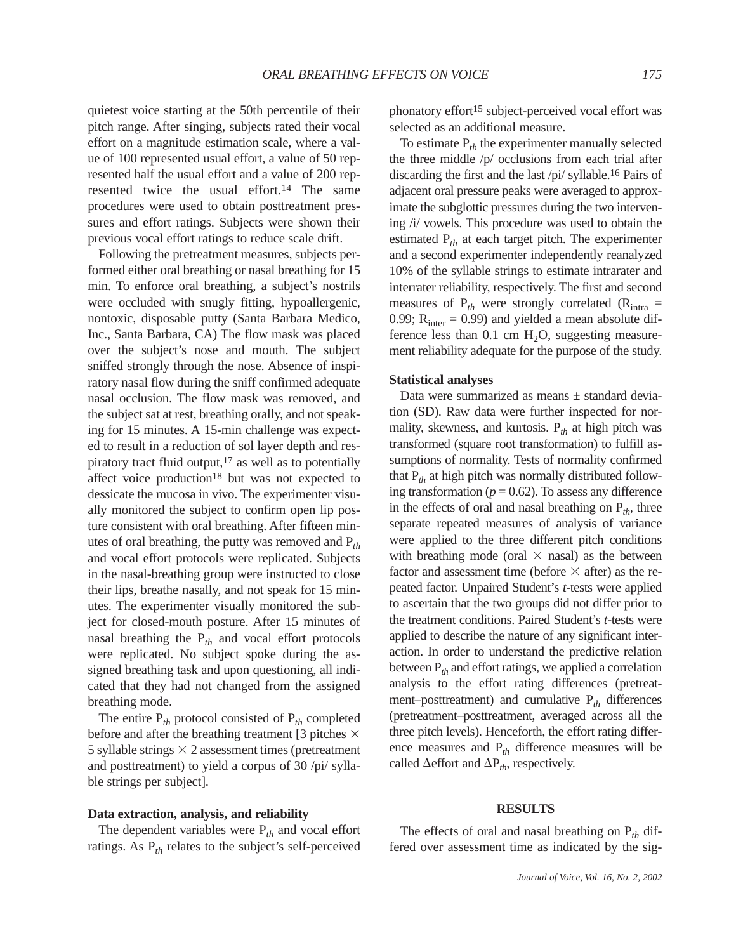quietest voice starting at the 50th percentile of their pitch range. After singing, subjects rated their vocal effort on a magnitude estimation scale, where a value of 100 represented usual effort, a value of 50 represented half the usual effort and a value of 200 represented twice the usual effort.<sup>14</sup> The same procedures were used to obtain posttreatment pressures and effort ratings. Subjects were shown their previous vocal effort ratings to reduce scale drift.

Following the pretreatment measures, subjects performed either oral breathing or nasal breathing for 15 min. To enforce oral breathing, a subject's nostrils were occluded with snugly fitting, hypoallergenic, nontoxic, disposable putty (Santa Barbara Medico, Inc., Santa Barbara, CA) The flow mask was placed over the subject's nose and mouth. The subject sniffed strongly through the nose. Absence of inspiratory nasal flow during the sniff confirmed adequate nasal occlusion. The flow mask was removed, and the subject sat at rest, breathing orally, and not speaking for 15 minutes. A 15-min challenge was expected to result in a reduction of sol layer depth and respiratory tract fluid output, $17$  as well as to potentially affect voice production<sup>18</sup> but was not expected to dessicate the mucosa in vivo. The experimenter visually monitored the subject to confirm open lip posture consistent with oral breathing. After fifteen minutes of oral breathing, the putty was removed and P*th* and vocal effort protocols were replicated. Subjects in the nasal-breathing group were instructed to close their lips, breathe nasally, and not speak for 15 minutes. The experimenter visually monitored the subject for closed-mouth posture. After 15 minutes of nasal breathing the  $P_{th}$  and vocal effort protocols were replicated. No subject spoke during the assigned breathing task and upon questioning, all indicated that they had not changed from the assigned breathing mode.

The entire  $P_{th}$  protocol consisted of  $P_{th}$  completed before and after the breathing treatment [3 pitches  $\times$ 5 syllable strings  $\times$  2 assessment times (pretreatment and posttreatment) to yield a corpus of 30 /pi/ syllable strings per subject].

## **Data extraction, analysis, and reliability**

The dependent variables were  $P_{th}$  and vocal effort ratings. As P*th* relates to the subject's self-perceived phonatory effort<sup>15</sup> subject-perceived vocal effort was selected as an additional measure.

To estimate P*th* the experimenter manually selected the three middle /p/ occlusions from each trial after discarding the first and the last /pi/ syllable.16 Pairs of adjacent oral pressure peaks were averaged to approximate the subglottic pressures during the two intervening /i/ vowels. This procedure was used to obtain the estimated P*th* at each target pitch. The experimenter and a second experimenter independently reanalyzed 10% of the syllable strings to estimate intrarater and interrater reliability, respectively. The first and second measures of  $P_{th}$  were strongly correlated ( $R_{intra}$  = 0.99;  $R_{inter} = 0.99$ ) and yielded a mean absolute difference less than  $0.1 \text{ cm H}_2\text{O}$ , suggesting measurement reliability adequate for the purpose of the study.

#### **Statistical analyses**

Data were summarized as means ± standard deviation (SD). Raw data were further inspected for normality, skewness, and kurtosis.  $P_{th}$  at high pitch was transformed (square root transformation) to fulfill assumptions of normality. Tests of normality confirmed that P*th* at high pitch was normally distributed following transformation ( $p = 0.62$ ). To assess any difference in the effects of oral and nasal breathing on  $P_{th}$ , three separate repeated measures of analysis of variance were applied to the three different pitch conditions with breathing mode (oral  $\times$  nasal) as the between factor and assessment time (before  $\times$  after) as the repeated factor. Unpaired Student's *t*-tests were applied to ascertain that the two groups did not differ prior to the treatment conditions. Paired Student's *t*-tests were applied to describe the nature of any significant interaction. In order to understand the predictive relation between P*th* and effort ratings, we applied a correlation analysis to the effort rating differences (pretreatment–posttreatment) and cumulative  $P_{th}$  differences (pretreatment–posttreatment, averaged across all the three pitch levels). Henceforth, the effort rating difference measures and P*th* difference measures will be called  $\Delta$  effort and  $\Delta P_{th}$ , respectively.

#### **RESULTS**

The effects of oral and nasal breathing on  $P_{th}$  differed over assessment time as indicated by the sig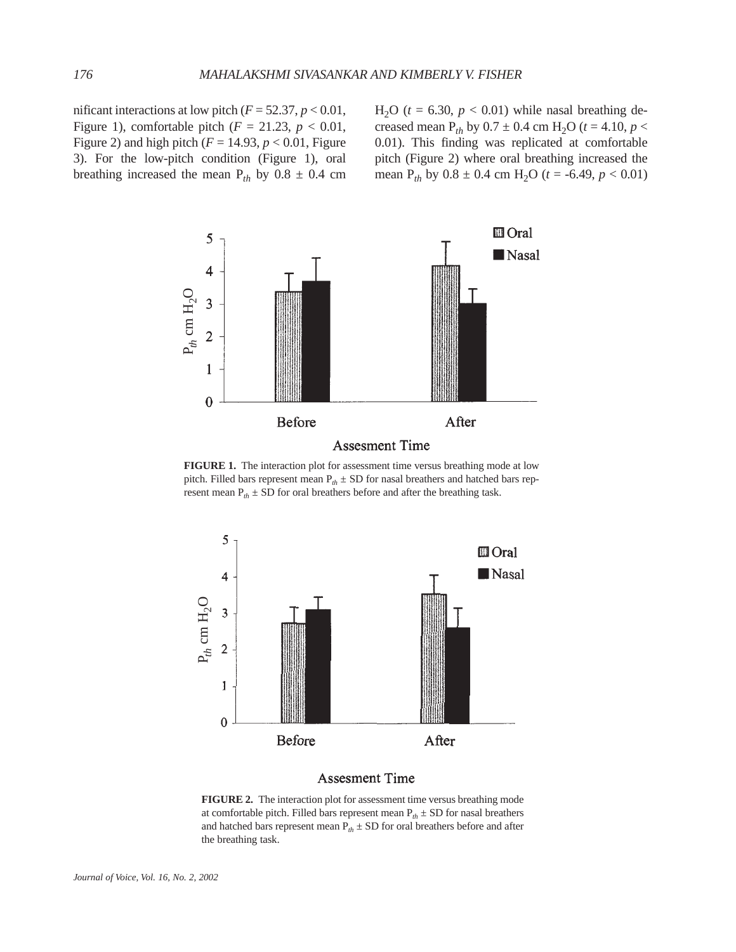nificant interactions at low pitch  $(F = 52.37, p < 0.01,$ Figure 1), comfortable pitch  $(F = 21.23, p < 0.01,$ Figure 2) and high pitch  $(F = 14.93, p < 0.01,$  Figure 3). For the low-pitch condition (Figure 1), oral breathing increased the mean  $P_{th}$  by 0.8  $\pm$  0.4 cm

 $H<sub>2</sub>O$  ( $t = 6.30$ ,  $p < 0.01$ ) while nasal breathing decreased mean P<sub>th</sub> by  $0.7 \pm 0.4$  cm H<sub>2</sub>O ( $t = 4.10$ ,  $p <$ 0.01). This finding was replicated at comfortable pitch (Figure 2) where oral breathing increased the mean  $P_{th}$  by  $0.8 \pm 0.4$  cm  $H_2O$  ( $t = -6.49$ ,  $p < 0.01$ )



**FIGURE 1.** The interaction plot for assessment time versus breathing mode at low pitch. Filled bars represent mean  $P_{th} \pm SD$  for nasal breathers and hatched bars represent mean  $P_{th} \pm SD$  for oral breathers before and after the breathing task.



## **Assesment Time**

**FIGURE 2.** The interaction plot for assessment time versus breathing mode at comfortable pitch. Filled bars represent mean  $P_{th} \pm SD$  for nasal breathers and hatched bars represent mean  $P_{th} \pm SD$  for oral breathers before and after the breathing task.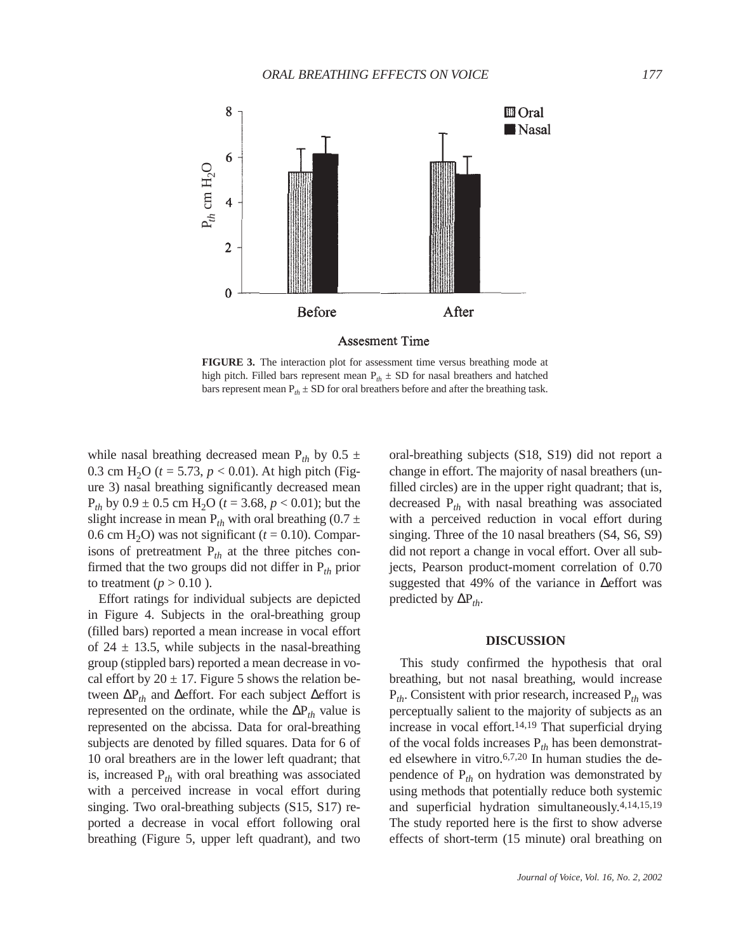

**FIGURE 3.** The interaction plot for assessment time versus breathing mode at high pitch. Filled bars represent mean  $P_{th} \pm SD$  for nasal breathers and hatched bars represent mean  $P_{th} \pm SD$  for oral breathers before and after the breathing task.

while nasal breathing decreased mean  $P_{th}$  by 0.5  $\pm$ 0.3 cm H<sub>2</sub>O ( $t = 5.73$ ,  $p < 0.01$ ). At high pitch (Figure 3) nasal breathing significantly decreased mean  $P_{th}$  by  $0.9 \pm 0.5$  cm H<sub>2</sub>O ( $t = 3.68$ ,  $p < 0.01$ ); but the slight increase in mean  $P_{th}$  with oral breathing (0.7  $\pm$ 0.6 cm H<sub>2</sub>O) was not significant ( $t = 0.10$ ). Comparisons of pretreatment  $P_{th}$  at the three pitches confirmed that the two groups did not differ in P*th* prior to treatment ( $p > 0.10$ ).

Effort ratings for individual subjects are depicted in Figure 4. Subjects in the oral-breathing group (filled bars) reported a mean increase in vocal effort of  $24 \pm 13.5$ , while subjects in the nasal-breathing group (stippled bars) reported a mean decrease in vocal effort by  $20 \pm 17$ . Figure 5 shows the relation between ∆P*th* and ∆effort. For each subject ∆effort is represented on the ordinate, while the  $\Delta P_{th}$  value is represented on the abcissa. Data for oral-breathing subjects are denoted by filled squares. Data for 6 of 10 oral breathers are in the lower left quadrant; that is, increased  $P_{th}$  with oral breathing was associated with a perceived increase in vocal effort during singing. Two oral-breathing subjects (S15, S17) reported a decrease in vocal effort following oral breathing (Figure 5, upper left quadrant), and two

oral-breathing subjects (S18, S19) did not report a change in effort. The majority of nasal breathers (unfilled circles) are in the upper right quadrant; that is, decreased P*th* with nasal breathing was associated with a perceived reduction in vocal effort during singing. Three of the 10 nasal breathers (S4, S6, S9) did not report a change in vocal effort. Over all subjects, Pearson product-moment correlation of 0.70 suggested that 49% of the variance in ∆effort was predicted by  $\Delta P_{th}$ .

## **DISCUSSION**

This study confirmed the hypothesis that oral breathing, but not nasal breathing, would increase P*th*. Consistent with prior research, increased P*th* was perceptually salient to the majority of subjects as an increase in vocal effort.<sup>14,19</sup> That superficial drying of the vocal folds increases P*th* has been demonstrated elsewhere in vitro.6,7,20 In human studies the dependence of P*th* on hydration was demonstrated by using methods that potentially reduce both systemic and superficial hydration simultaneously.4,14,15,19 The study reported here is the first to show adverse effects of short-term (15 minute) oral breathing on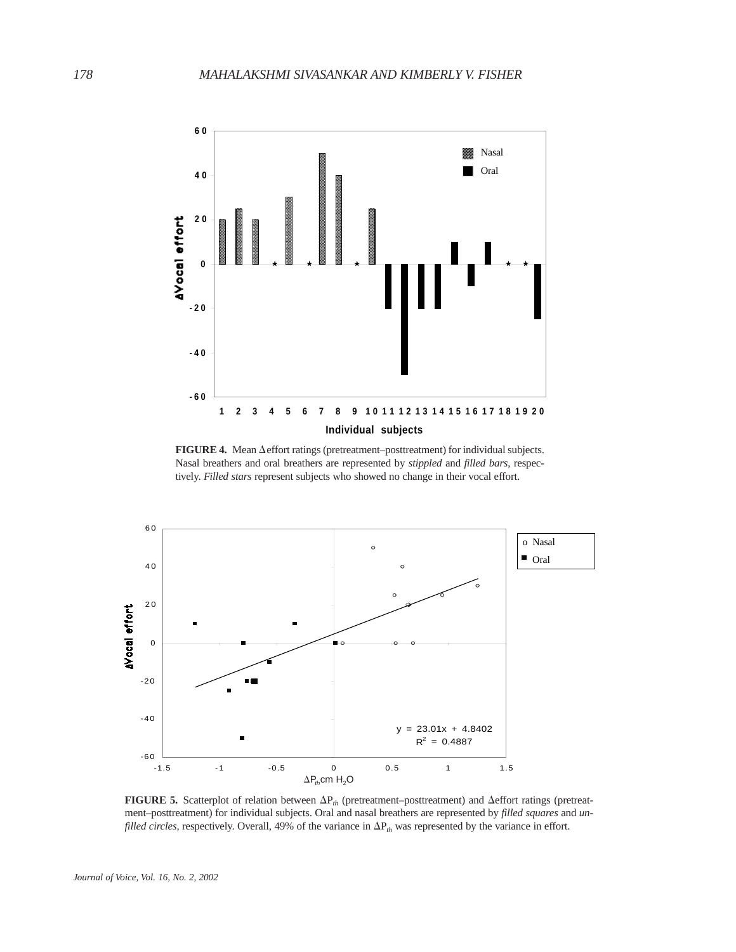

FIGURE 4. Mean  $\Delta$  effort ratings (pretreatment–posttreatment) for individual subjects. Nasal breathers and oral breathers are represented by *stippled* and *filled bars*, respectively. *Filled stars* represent subjects who showed no change in their vocal effort.



**FIGURE 5.** Scatterplot of relation between  $\Delta P_h$  (pretreatment–posttreatment) and  $\Delta$ effort ratings (pretreatment–posttreatment) for individual subjects. Oral and nasal breathers are represented by *filled squares* and *unfilled circles,* respectively. Overall, 49% of the variance in  $\Delta P_{th}$  was represented by the variance in effort.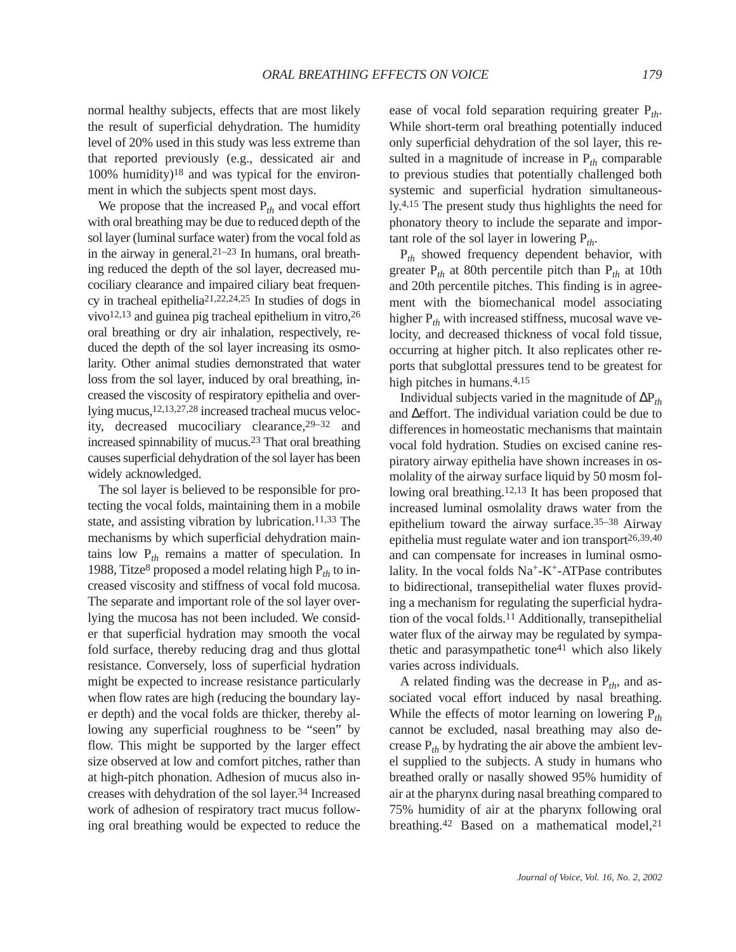normal healthy subjects, effects that are most likely the result of superficial dehydration. The humidity level of 20% used in this study was less extreme than that reported previously (e.g., dessicated air and  $100\%$  humidity)<sup>18</sup> and was typical for the environment in which the subjects spent most days.

We propose that the increased P*th* and vocal effort with oral breathing may be due to reduced depth of the sol layer (luminal surface water) from the vocal fold as in the airway in general.21–23 In humans, oral breathing reduced the depth of the sol layer, decreased mucociliary clearance and impaired ciliary beat frequency in tracheal epithelia21,22,24,25 In studies of dogs in vivo12,13 and guinea pig tracheal epithelium in vitro,26 oral breathing or dry air inhalation, respectively, reduced the depth of the sol layer increasing its osmolarity. Other animal studies demonstrated that water loss from the sol layer, induced by oral breathing, increased the viscosity of respiratory epithelia and overlying mucus,12,13,27,28 increased tracheal mucus velocity, decreased mucociliary clearance,29–32 and increased spinnability of mucus.23 That oral breathing causes superficial dehydration of the sol layer has been widely acknowledged.

The sol layer is believed to be responsible for protecting the vocal folds, maintaining them in a mobile state, and assisting vibration by lubrication.<sup>11,33</sup> The mechanisms by which superficial dehydration maintains low P*th* remains a matter of speculation. In 1988, Titze8 proposed a model relating high P*th* to increased viscosity and stiffness of vocal fold mucosa. The separate and important role of the sol layer overlying the mucosa has not been included. We consider that superficial hydration may smooth the vocal fold surface, thereby reducing drag and thus glottal resistance. Conversely, loss of superficial hydration might be expected to increase resistance particularly when flow rates are high (reducing the boundary layer depth) and the vocal folds are thicker, thereby allowing any superficial roughness to be "seen" by flow. This might be supported by the larger effect size observed at low and comfort pitches, rather than at high-pitch phonation. Adhesion of mucus also increases with dehydration of the sol layer.34 Increased work of adhesion of respiratory tract mucus following oral breathing would be expected to reduce the

ease of vocal fold separation requiring greater P*th*. While short-term oral breathing potentially induced only superficial dehydration of the sol layer, this resulted in a magnitude of increase in  $P_{th}$  comparable to previous studies that potentially challenged both systemic and superficial hydration simultaneously.4,15 The present study thus highlights the need for phonatory theory to include the separate and important role of the sol layer in lowering  $P_{th}$ .

P*th* showed frequency dependent behavior, with greater  $P_{th}$  at 80th percentile pitch than  $P_{th}$  at 10th and 20th percentile pitches. This finding is in agreement with the biomechanical model associating higher  $P_{th}$  with increased stiffness, mucosal wave velocity, and decreased thickness of vocal fold tissue, occurring at higher pitch. It also replicates other reports that subglottal pressures tend to be greatest for high pitches in humans.<sup>4,15</sup>

Individual subjects varied in the magnitude of ∆P*th* and ∆effort. The individual variation could be due to differences in homeostatic mechanisms that maintain vocal fold hydration. Studies on excised canine respiratory airway epithelia have shown increases in osmolality of the airway surface liquid by 50 mosm following oral breathing.12,13 It has been proposed that increased luminal osmolality draws water from the epithelium toward the airway surface.35–38 Airway epithelia must regulate water and ion transport $26,39,40$ and can compensate for increases in luminal osmolality. In the vocal folds  $Na^+ - K^+$ -ATPase contributes to bidirectional, transepithelial water fluxes providing a mechanism for regulating the superficial hydration of the vocal folds.11 Additionally, transepithelial water flux of the airway may be regulated by sympathetic and parasympathetic tone<sup>41</sup> which also likely varies across individuals.

A related finding was the decrease in P*th*, and associated vocal effort induced by nasal breathing. While the effects of motor learning on lowering P*th* cannot be excluded, nasal breathing may also decrease  $P_{th}$  by hydrating the air above the ambient level supplied to the subjects. A study in humans who breathed orally or nasally showed 95% humidity of air at the pharynx during nasal breathing compared to 75% humidity of air at the pharynx following oral breathing.<sup>42</sup> Based on a mathematical model,<sup>21</sup>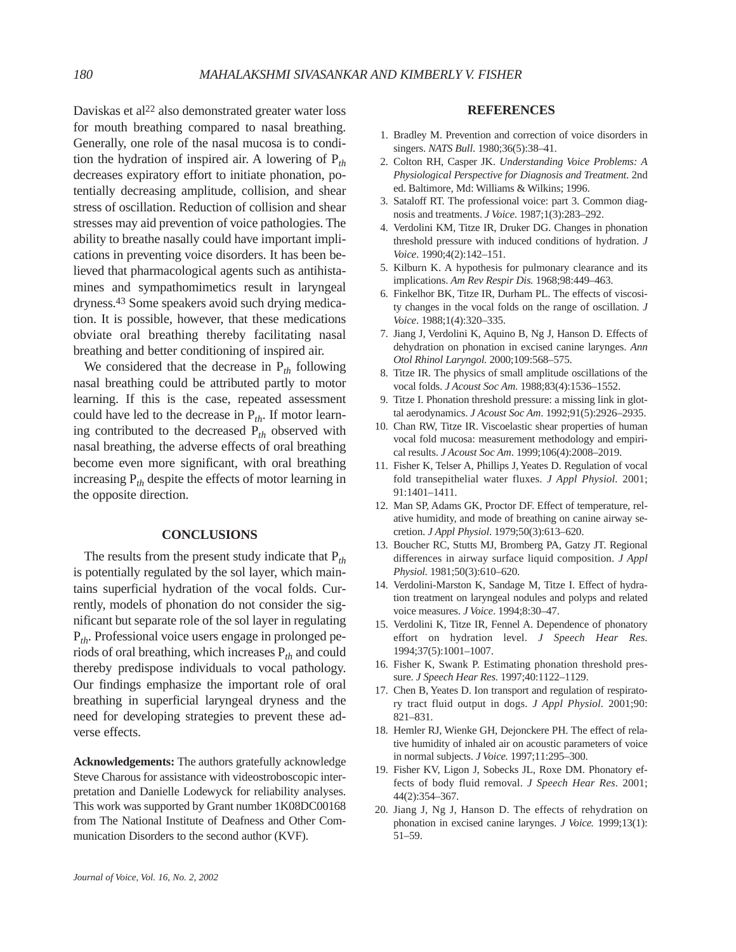Daviskas et al<sup>22</sup> also demonstrated greater water loss for mouth breathing compared to nasal breathing. Generally, one role of the nasal mucosa is to condition the hydration of inspired air. A lowering of P*th* decreases expiratory effort to initiate phonation, potentially decreasing amplitude, collision, and shear stress of oscillation. Reduction of collision and shear stresses may aid prevention of voice pathologies. The ability to breathe nasally could have important implications in preventing voice disorders. It has been believed that pharmacological agents such as antihistamines and sympathomimetics result in laryngeal dryness.43 Some speakers avoid such drying medication. It is possible, however, that these medications obviate oral breathing thereby facilitating nasal breathing and better conditioning of inspired air.

We considered that the decrease in P*th* following nasal breathing could be attributed partly to motor learning. If this is the case, repeated assessment could have led to the decrease in P*th*. If motor learning contributed to the decreased P*th* observed with nasal breathing, the adverse effects of oral breathing become even more significant, with oral breathing increasing P*th* despite the effects of motor learning in the opposite direction.

# **CONCLUSIONS**

The results from the present study indicate that P*th* is potentially regulated by the sol layer, which maintains superficial hydration of the vocal folds. Currently, models of phonation do not consider the significant but separate role of the sol layer in regulating P*th*. Professional voice users engage in prolonged periods of oral breathing, which increases P*th* and could thereby predispose individuals to vocal pathology. Our findings emphasize the important role of oral breathing in superficial laryngeal dryness and the need for developing strategies to prevent these adverse effects.

**Acknowledgements:** The authors gratefully acknowledge Steve Charous for assistance with videostroboscopic interpretation and Danielle Lodewyck for reliability analyses. This work was supported by Grant number 1K08DC00168 from The National Institute of Deafness and Other Communication Disorders to the second author (KVF).

### **REFERENCES**

- 1. Bradley M. Prevention and correction of voice disorders in singers. *NATS Bull*. 1980;36(5):38–41.
- 2. Colton RH, Casper JK. *Understanding Voice Problems: A Physiological Perspective for Diagnosis and Treatment.* 2nd ed. Baltimore, Md: Williams & Wilkins; 1996.
- 3. Sataloff RT. The professional voice: part 3. Common diagnosis and treatments. *J Voice*. 1987;1(3):283–292.
- 4. Verdolini KM, Titze IR, Druker DG. Changes in phonation threshold pressure with induced conditions of hydration. *J Voice*. 1990;4(2):142–151.
- 5. Kilburn K. A hypothesis for pulmonary clearance and its implications. *Am Rev Respir Dis.* 1968;98:449–463.
- 6. Finkelhor BK, Titze IR, Durham PL. The effects of viscosity changes in the vocal folds on the range of oscillation. *J Voice*. 1988;1(4):320–335.
- 7. Jiang J, Verdolini K, Aquino B, Ng J, Hanson D. Effects of dehydration on phonation in excised canine larynges. *Ann Otol Rhinol Laryngol.* 2000;109:568–575.
- 8. Titze IR. The physics of small amplitude oscillations of the vocal folds. *J Acoust Soc Am*. 1988;83(4):1536–1552.
- 9. Titze I. Phonation threshold pressure: a missing link in glottal aerodynamics. *J Acoust Soc Am*. 1992;91(5):2926–2935.
- 10. Chan RW, Titze IR. Viscoelastic shear properties of human vocal fold mucosa: measurement methodology and empirical results. *J Acoust Soc Am*. 1999;106(4):2008–2019.
- 11. Fisher K, Telser A, Phillips J, Yeates D. Regulation of vocal fold transepithelial water fluxes. *J Appl Physiol.* 2001; 91:1401–1411.
- 12. Man SP, Adams GK, Proctor DF. Effect of temperature, relative humidity, and mode of breathing on canine airway secretion. *J Appl Physiol*. 1979;50(3):613–620.
- 13. Boucher RC, Stutts MJ, Bromberg PA, Gatzy JT. Regional differences in airway surface liquid composition. *J Appl Physiol.* 1981;50(3):610–620.
- 14. Verdolini-Marston K, Sandage M, Titze I. Effect of hydration treatment on laryngeal nodules and polyps and related voice measures. *J Voice*. 1994;8:30–47.
- 15. Verdolini K, Titze IR, Fennel A. Dependence of phonatory effort on hydration level. *J Speech Hear Res.* 1994;37(5):1001–1007.
- 16. Fisher K, Swank P. Estimating phonation threshold pressure. *J Speech Hear Res.* 1997;40:1122–1129.
- 17. Chen B, Yeates D. Ion transport and regulation of respiratory tract fluid output in dogs. *J Appl Physiol.* 2001;90: 821–831.
- 18. Hemler RJ, Wienke GH, Dejonckere PH. The effect of relative humidity of inhaled air on acoustic parameters of voice in normal subjects. *J Voice.* 1997;11:295–300.
- 19. Fisher KV, Ligon J, Sobecks JL, Roxe DM. Phonatory effects of body fluid removal. *J Speech Hear Res*. 2001; 44(2):354–367.
- 20. Jiang J, Ng J, Hanson D. The effects of rehydration on phonation in excised canine larynges. *J Voice.* 1999;13(1): 51–59.